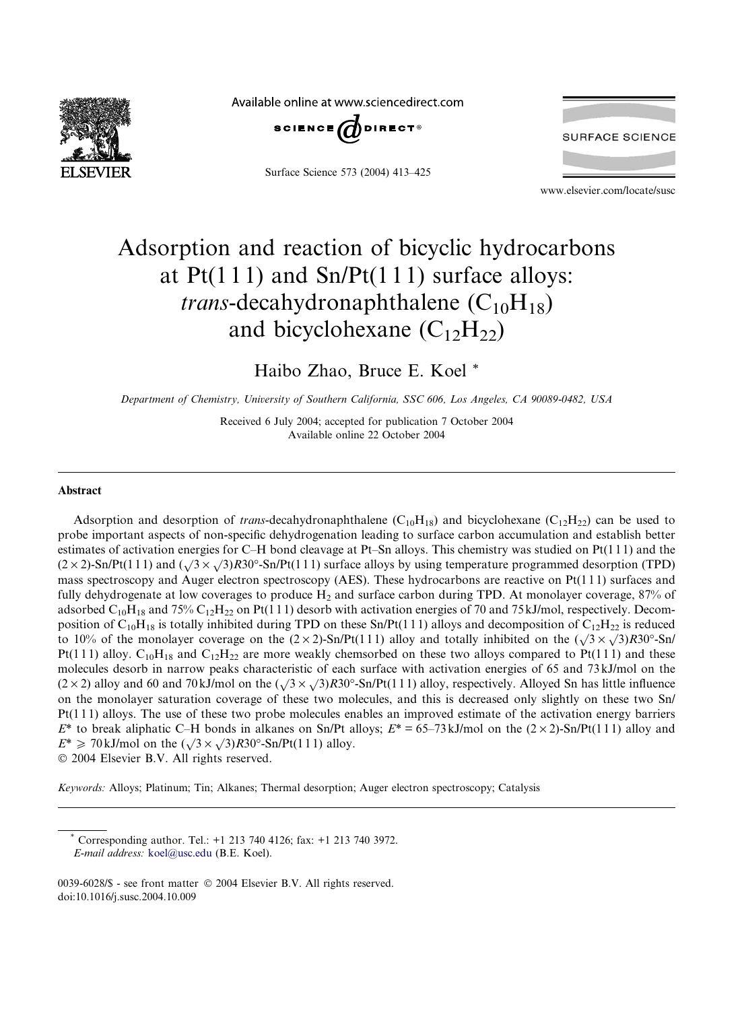

Available online at www.sciencedirect.com



Surface Science 573 (2004) 413–425



www.elsevier.com/locate/susc

# Adsorption and reaction of bicyclic hydrocarbons at  $Pt(111)$  and  $Sn/Pt(111)$  surface alloys: *trans*-decahydronaphthalene  $(C_{10}H_{18})$ and bicyclohexane  $(C_{12}H_{22})$

Haibo Zhao, Bruce E. Koel \*

Department of Chemistry, University of Southern California, SSC 606, Los Angeles, CA 90089-0482, USA

Received 6 July 2004; accepted for publication 7 October 2004 Available online 22 October 2004

#### Abstract

Adsorption and desorption of *trans*-decahydronaphthalene  $(C_{10}H_{18})$  and bicyclohexane  $(C_{12}H_{22})$  can be used to probe important aspects of non-specific dehydrogenation leading to surface carbon accumulation and establish better estimates of activation energies for C–H bond cleavage at Pt–Sn alloys. This chemistry was studied on Pt(1 1 1) and the  $(2 \times 2)$ -Sn/Pt(111) and  $(\sqrt{3} \times \sqrt{3})R30^\circ$ -Sn/Pt(111) surface alloys by using temperature programmed desorption (TPD) mass spectroscopy and Auger electron spectroscopy (AES). These hydrocarbons are reactive on Pt(1 1 1) surfaces and fully dehydrogenate at low coverages to produce  $H_2$  and surface carbon during TPD. At monolayer coverage, 87% of adsorbed  $C_{10}H_{18}$  and 75%  $C_{12}H_{22}$  on Pt(111) desorb with activation energies of 70 and 75 kJ/mol, respectively. Decomposition of  $C_{10}H_{18}$  is totally inhibited during TPD on these Sn/Pt(111) alloys and decomposition of  $C_{12}H_{22}$  is reduced to 10% of the monolayer coverage on the  $(2 \times 2)$ -Sn/Pt(111) alloy and totally inhibited on the  $(\sqrt{3} \times \sqrt{3})R30^\circ$ -Sn/ Pt(111) alloy.  $C_{10}H_{18}$  and  $C_{12}H_{22}$  are more weakly chemsorbed on these two alloys compared to Pt(111) and these molecules desorb in narrow peaks characteristic of each surface with activation energies of 65 and 73 kJ/mol on the molecules desort in harrow peaks enaracteristic or each surface with activation energies or 05 and 75 kJ/mol on the  $(2 \times 2)$  alloy and 60 and 70 kJ/mol on the  $(\sqrt{3} \times \sqrt{3})R30^{\circ}$ -Sn/Pt(111) alloy, respectively. Alloyed on the monolayer saturation coverage of these two molecules, and this is decreased only slightly on these two Sn/ Pt(1 1 1) alloys. The use of these two probe molecules enables an improved estimate of the activation energy barriers  $E^*$  to break aliphatic C–H bonds in alkanes on Sn/Pt alloys;  $E^* = 65-73$  kJ/mol on the  $(2 \times 2)$ -Sn/Pt(111) alloy and  $E^* \ge 70 \text{ kJ/mol}$  on the  $(\sqrt{3} \times \sqrt{3})R30^\circ$ -Sn/Pt(111) alloy. 2004 Elsevier B.V. All rights reserved.

Keywords: Alloys; Platinum; Tin; Alkanes; Thermal desorption; Auger electron spectroscopy; Catalysis

Corresponding author. Tel.: +1 213 740 4126; fax: +1 213 740 3972. E-mail address: [koel@usc.edu](mailto:koel@usc.edu ) (B.E. Koel).

<sup>0039-6028/\$ -</sup> see front matter © 2004 Elsevier B.V. All rights reserved. doi:10.1016/j.susc.2004.10.009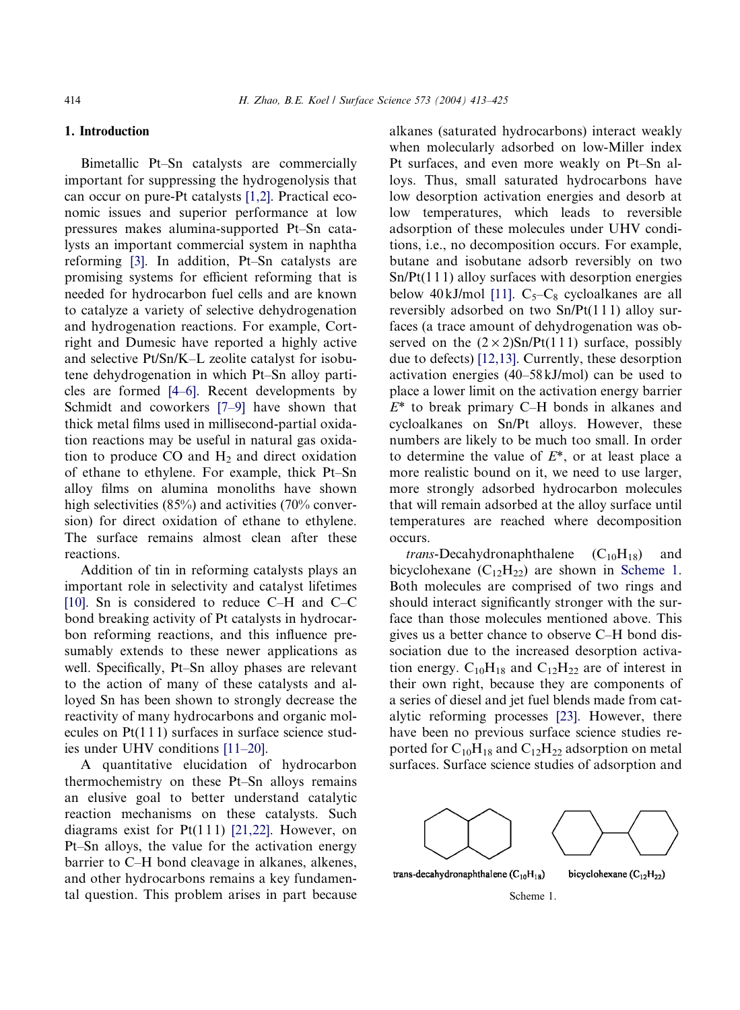# 1. Introduction

Bimetallic Pt–Sn catalysts are commercially important for suppressing the hydrogenolysis that can occur on pure-Pt catalysts [\[1,2\].](#page-11-0) Practical economic issues and superior performance at low pressures makes alumina-supported Pt–Sn catalysts an important commercial system in naphtha reforming [\[3\]](#page-11-0). In addition, Pt–Sn catalysts are promising systems for efficient reforming that is needed for hydrocarbon fuel cells and are known to catalyze a variety of selective dehydrogenation and hydrogenation reactions. For example, Cortright and Dumesic have reported a highly active and selective Pt/Sn/K–L zeolite catalyst for isobutene dehydrogenation in which Pt–Sn alloy particles are formed [\[4–6\]](#page-11-0). Recent developments by Schmidt and coworkers [\[7–9\]](#page-11-0) have shown that thick metal films used in millisecond-partial oxidation reactions may be useful in natural gas oxidation to produce  $CO$  and  $H<sub>2</sub>$  and direct oxidation of ethane to ethylene. For example, thick Pt–Sn alloy films on alumina monoliths have shown high selectivities (85%) and activities (70% conversion) for direct oxidation of ethane to ethylene. The surface remains almost clean after these reactions.

Addition of tin in reforming catalysts plays an important role in selectivity and catalyst lifetimes [\[10\].](#page-11-0) Sn is considered to reduce C–H and C–C bond breaking activity of Pt catalysts in hydrocarbon reforming reactions, and this influence presumably extends to these newer applications as well. Specifically, Pt–Sn alloy phases are relevant to the action of many of these catalysts and alloyed Sn has been shown to strongly decrease the reactivity of many hydrocarbons and organic molecules on  $Pt(111)$  surfaces in surface science studies under UHV conditions [\[11–20\].](#page-11-0)

A quantitative elucidation of hydrocarbon thermochemistry on these Pt–Sn alloys remains an elusive goal to better understand catalytic reaction mechanisms on these catalysts. Such diagrams exist for  $Pt(111)$  [\[21,22\]](#page-11-0). However, on Pt–Sn alloys, the value for the activation energy barrier to C–H bond cleavage in alkanes, alkenes, and other hydrocarbons remains a key fundamental question. This problem arises in part because alkanes (saturated hydrocarbons) interact weakly when molecularly adsorbed on low-Miller index Pt surfaces, and even more weakly on Pt–Sn alloys. Thus, small saturated hydrocarbons have low desorption activation energies and desorb at low temperatures, which leads to reversible adsorption of these molecules under UHV conditions, i.e., no decomposition occurs. For example, butane and isobutane adsorb reversibly on two  $Sn/Pt(111)$  alloy surfaces with desorption energies below 40 kJ/mol [\[11\].](#page-11-0)  $C_5-C_8$  cycloalkanes are all reversibly adsorbed on two Sn/Pt(1 1 1) alloy surfaces (a trace amount of dehydrogenation was observed on the  $(2 \times 2)$ Sn/Pt(111) surface, possibly due to defects) [\[12,13\].](#page-11-0) Currently, these desorption activation energies (40–58 kJ/mol) can be used to place a lower limit on the activation energy barrier  $E^*$  to break primary C–H bonds in alkanes and cycloalkanes on Sn/Pt alloys. However, these numbers are likely to be much too small. In order to determine the value of  $E^*$ , or at least place a more realistic bound on it, we need to use larger, more strongly adsorbed hydrocarbon molecules that will remain adsorbed at the alloy surface until temperatures are reached where decomposition occurs.

*trans*-Decahydronaphthalene  $(C_{10}H_{18})$  and bicyclohexane  $(C_{12}H_{22})$  are shown in Scheme 1. Both molecules are comprised of two rings and should interact significantly stronger with the surface than those molecules mentioned above. This gives us a better chance to observe C–H bond dissociation due to the increased desorption activation energy.  $C_{10}H_{18}$  and  $C_{12}H_{22}$  are of interest in their own right, because they are components of a series of diesel and jet fuel blends made from catalytic reforming processes [\[23\].](#page-11-0) However, there have been no previous surface science studies reported for  $C_{10}H_{18}$  and  $C_{12}H_{22}$  adsorption on metal surfaces. Surface science studies of adsorption and

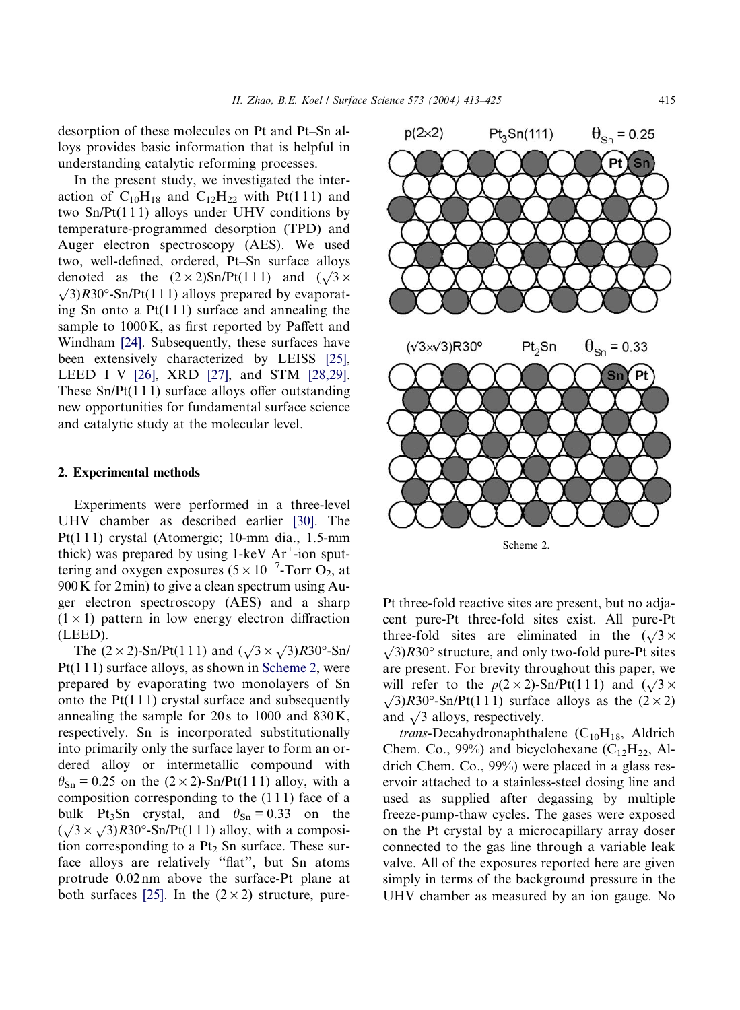desorption of these molecules on Pt and Pt–Sn alloys provides basic information that is helpful in understanding catalytic reforming processes.

In the present study, we investigated the interaction of  $C_{10}H_{18}$  and  $C_{12}H_{22}$  with Pt(111) and two  $Sn/Pt(111)$  alloys under UHV conditions by temperature-programmed desorption (TPD) and Auger electron spectroscopy (AES). We used two, well-defined, ordered, Pt–Sn surface alloys denoted as the  $(2 \times 2)$ Sn/Pt(111) and  $(\sqrt{3} \times$  $\sqrt{3}R30^\circ$ -Sn/Pt(111) alloys prepared by evaporating Sn onto a  $Pt(111)$  surface and annealing the sample to 1000K, as first reported by Paffett and Windham [\[24\]](#page-11-0). Subsequently, these surfaces have been extensively characterized by LEISS [\[25\]](#page-11-0), LEED I–V [\[26\]](#page-11-0), XRD [\[27\],](#page-11-0) and STM [\[28,29\]](#page-11-0). These  $Sn/Pt(111)$  surface alloys offer outstanding new opportunities for fundamental surface science and catalytic study at the molecular level.

### 2. Experimental methods

Experiments were performed in a three-level UHV chamber as described earlier [\[30\]](#page-11-0). The Pt(111) crystal (Atomergic; 10-mm dia., 1.5-mm thick) was prepared by using  $1$ -keV  $Ar^+$ -ion sputtering and oxygen exposures  $(5 \times 10^{-7}$ -Torr O<sub>2</sub>, at 900K for 2min) to give a clean spectrum using Auger electron spectroscopy (AES) and a sharp  $(1 \times 1)$  pattern in low energy electron diffraction (LEED).

The  $(2 \times 2)$ -Sn/Pt(111) and  $(\sqrt{3} \times \sqrt{3})R30^{\circ}$ -Sn/ Pt(1 1 1) surface alloys, as shown in Scheme 2, were prepared by evaporating two monolayers of Sn onto the  $Pt(111)$  crystal surface and subsequently annealing the sample for  $20s$  to  $1000$  and  $830K$ , respectively. Sn is incorporated substitutionally into primarily only the surface layer to form an ordered alloy or intermetallic compound with  $\theta_{\text{Sn}} = 0.25$  on the  $(2 \times 2)$ -Sn/Pt(111) alloy, with a composition corresponding to the (1 1 1) face of a bulk Pt<sub>3</sub>Sn crystal, and  $\theta_{\text{Sn}} = 0.33$  on the but r<sub>331</sub> crystal, and  $v_{\text{Sn}} = 0.33$  on the  $(\sqrt{3} \times \sqrt{3})R30^\circ$ -Sn/Pt(111) alloy, with a composition corresponding to a  $Pt<sub>2</sub>$  Sn surface. These surface alloys are relatively ''flat'', but Sn atoms protrude 0.02nm above the surface-Pt plane at both surfaces [\[25\].](#page-11-0) In the  $(2 \times 2)$  structure, pure-



Scheme 2.

Pt three-fold reactive sites are present, but no adjacent pure-Pt three-fold sites exist. All pure-Pt three-fold sites are eliminated in the  $(\sqrt{3} \times$  $\sqrt{3}R30^\circ$  structure, and only two-fold pure-Pt sites are present. For brevity throughout this paper, we will refer to the  $p(2 \times 2)$ -Sn/Pt(111) and  $(\sqrt{3} \times$  $\sqrt{3}R30^\circ$ -Sn/Pt(111) surface alloys as the (2 × 2) and  $\sqrt{3}$  alloys, respectively.

trans-Decahydronaphthalene  $(C_{10}H_{18}$ , Aldrich Chem. Co., 99%) and bicyclohexane  $(C_{12}H_{22}$ , Aldrich Chem. Co., 99%) were placed in a glass reservoir attached to a stainless-steel dosing line and used as supplied after degassing by multiple freeze-pump-thaw cycles. The gases were exposed on the Pt crystal by a microcapillary array doser connected to the gas line through a variable leak valve. All of the exposures reported here are given simply in terms of the background pressure in the UHV chamber as measured by an ion gauge. No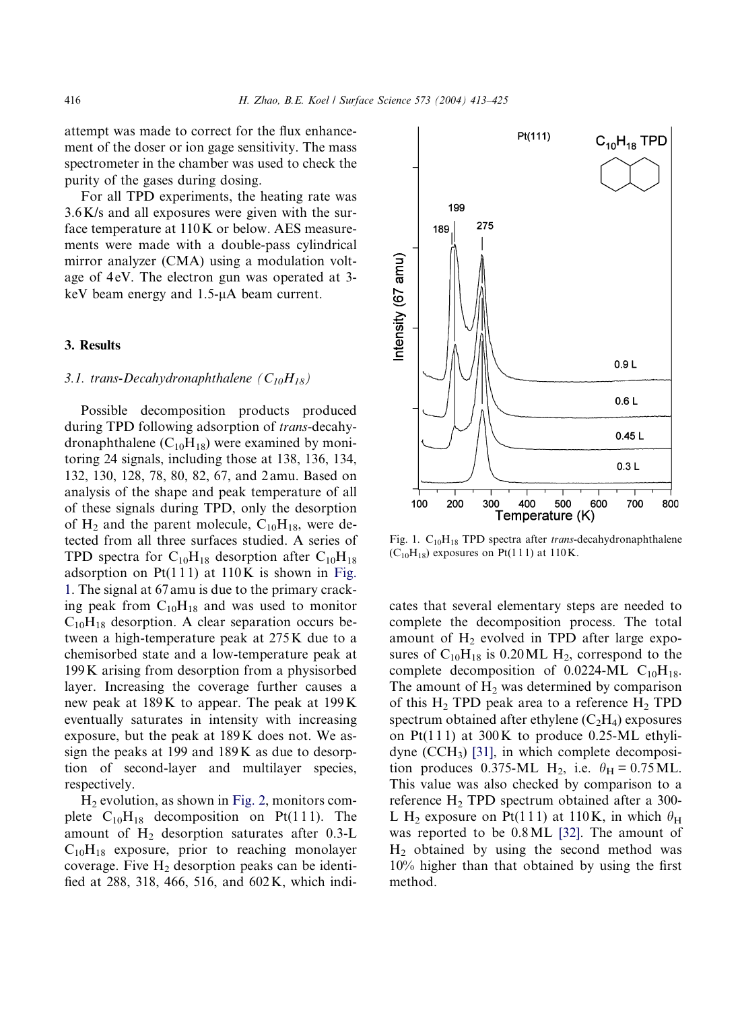attempt was made to correct for the flux enhancement of the doser or ion gage sensitivity. The mass spectrometer in the chamber was used to check the purity of the gases during dosing.

For all TPD experiments, the heating rate was 3.6K/s and all exposures were given with the surface temperature at 110K or below. AES measurements were made with a double-pass cylindrical mirror analyzer (CMA) using a modulation voltage of 4eV. The electron gun was operated at 3keV beam energy and  $1.5$ - $\mu$ A beam current.

# 3. Results

# 3.1. trans-Decahydronaphthalene  $(C_{10}H_{18})$

Possible decomposition products produced during TPD following adsorption of trans-decahydronaphthalene  $(C_{10}H_{18})$  were examined by monitoring 24 signals, including those at 138, 136, 134, 132, 130, 128, 78, 80, 82, 67, and 2 amu. Based on analysis of the shape and peak temperature of all of these signals during TPD, only the desorption of  $H_2$  and the parent molecule,  $C_{10}H_{18}$ , were detected from all three surfaces studied. A series of TPD spectra for  $C_{10}H_{18}$  desorption after  $C_{10}H_{18}$ adsorption on  $Pt(111)$  at 110K is shown in Fig. 1. The signal at 67 amu is due to the primary cracking peak from  $C_{10}H_{18}$  and was used to monitor  $C_{10}H_{18}$  desorption. A clear separation occurs between a high-temperature peak at 275K due to a chemisorbed state and a low-temperature peak at 199K arising from desorption from a physisorbed layer. Increasing the coverage further causes a new peak at 189K to appear. The peak at 199K eventually saturates in intensity with increasing exposure, but the peak at 189K does not. We assign the peaks at 199 and 189K as due to desorption of second-layer and multilayer species, respectively.

 $H<sub>2</sub>$  evolution, as shown in [Fig. 2](#page-4-0), monitors complete  $C_{10}H_{18}$  decomposition on Pt(111). The amount of  $H_2$  desorption saturates after 0.3-L  $C_{10}H_{18}$  exposure, prior to reaching monolayer coverage. Five  $H_2$  desorption peaks can be identified at 288, 318, 466, 516, and 602K, which indi-



Fig. 1.  $C_{10}H_{18}$  TPD spectra after trans-decahydronaphthalene  $(C_{10}H_{18})$  exposures on Pt(111) at 110K.

cates that several elementary steps are needed to complete the decomposition process. The total amount of  $H_2$  evolved in TPD after large exposures of  $C_{10}H_{18}$  is 0.20 ML  $H_2$ , correspond to the complete decomposition of 0.0224-ML  $C_{10}H_{18}$ . The amount of  $H_2$  was determined by comparison of this  $H_2$  TPD peak area to a reference  $H_2$  TPD spectrum obtained after ethylene  $(C<sub>2</sub>H<sub>4</sub>)$  exposures on Pt(111) at  $300K$  to produce 0.25-ML ethylidyne  $(CCH_3)$  [\[31\],](#page-11-0) in which complete decomposition produces 0.375-ML H<sub>2</sub>, i.e.  $\theta_H = 0.75$  ML. This value was also checked by comparison to a reference  $H_2$  TPD spectrum obtained after a 300-L H<sub>2</sub> exposure on Pt(111) at 110K, in which  $\theta_H$ was reported to be 0.8ML [\[32\].](#page-11-0) The amount of H2 obtained by using the second method was 10% higher than that obtained by using the first method.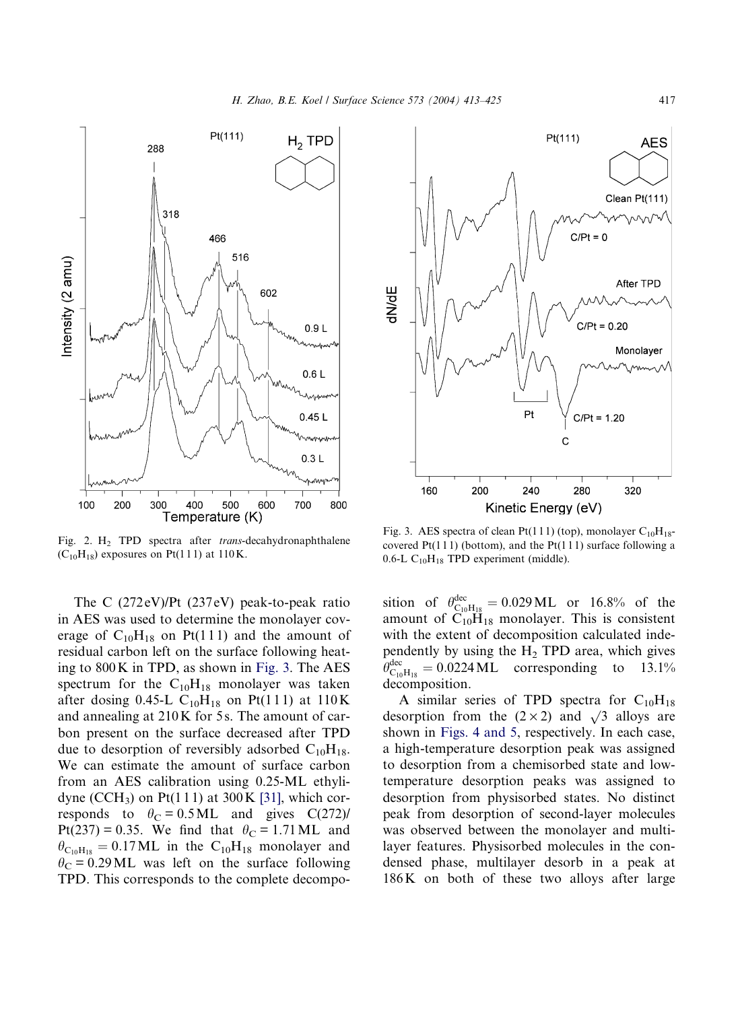<span id="page-4-0"></span>

Fig. 2. H<sub>2</sub> TPD spectra after *trans*-decahydronaphthalene  $(C_{10}H_{18})$  exposures on Pt(111) at 110K.

The C (272 eV)/Pt (237 eV) peak-to-peak ratio in AES was used to determine the monolayer coverage of  $C_{10}H_{18}$  on Pt(111) and the amount of residual carbon left on the surface following heating to 800K in TPD, as shown in Fig. 3. The AES spectrum for the  $C_{10}H_{18}$  monolayer was taken after dosing 0.45-L  $C_{10}H_{18}$  on Pt(111) at 110K and annealing at 210K for 5s. The amount of carbon present on the surface decreased after TPD due to desorption of reversibly adsorbed  $C_{10}H_{18}$ . We can estimate the amount of surface carbon from an AES calibration using 0.25-ML ethyli-dyne (CCH<sub>3</sub>) on Pt(111) at 300K [\[31\],](#page-11-0) which corresponds to  $\theta_C = 0.5 \text{ML}$  and gives C(272)/ Pt(237) = 0.35. We find that  $\theta_C = 1.71$  ML and  $\theta_{\text{C}_{10}H_{18}} = 0.17 \text{ML}$  in the C<sub>10</sub>H<sub>18</sub> monolayer and  $\theta_C$  = 0.29 ML was left on the surface following TPD. This corresponds to the complete decompo-



Fig. 3. AES spectra of clean Pt(111) (top), monolayer  $C_{10}H_{18}$ covered  $Pt(111)$  (bottom), and the  $Pt(111)$  surface following a 0.6-L  $C_{10}H_{18}$  TPD experiment (middle).

sition of  $\theta_{C_{10}H_{18}}^{dec} = 0.029 \text{ ML}$  or 16.8% of the amount of  $C_{10}H_{18}$  monolayer. This is consistent with the extent of decomposition calculated independently by using the  $H_2$  TPD area, which gives  $\theta_{\text{C}_{10}\text{H}_{18}}^{\text{dec}} = 0.0224 \text{ML}$  corresponding to 13.1% decomposition.

A similar series of TPD spectra for  $C_{10}H_{18}$ desorption from the  $(2 \times 2)$  and  $\sqrt{3}$  alloys are shown in [Figs. 4 and 5](#page-5-0), respectively. In each case, a high-temperature desorption peak was assigned to desorption from a chemisorbed state and lowtemperature desorption peaks was assigned to desorption from physisorbed states. No distinct peak from desorption of second-layer molecules was observed between the monolayer and multilayer features. Physisorbed molecules in the condensed phase, multilayer desorb in a peak at 186K on both of these two alloys after large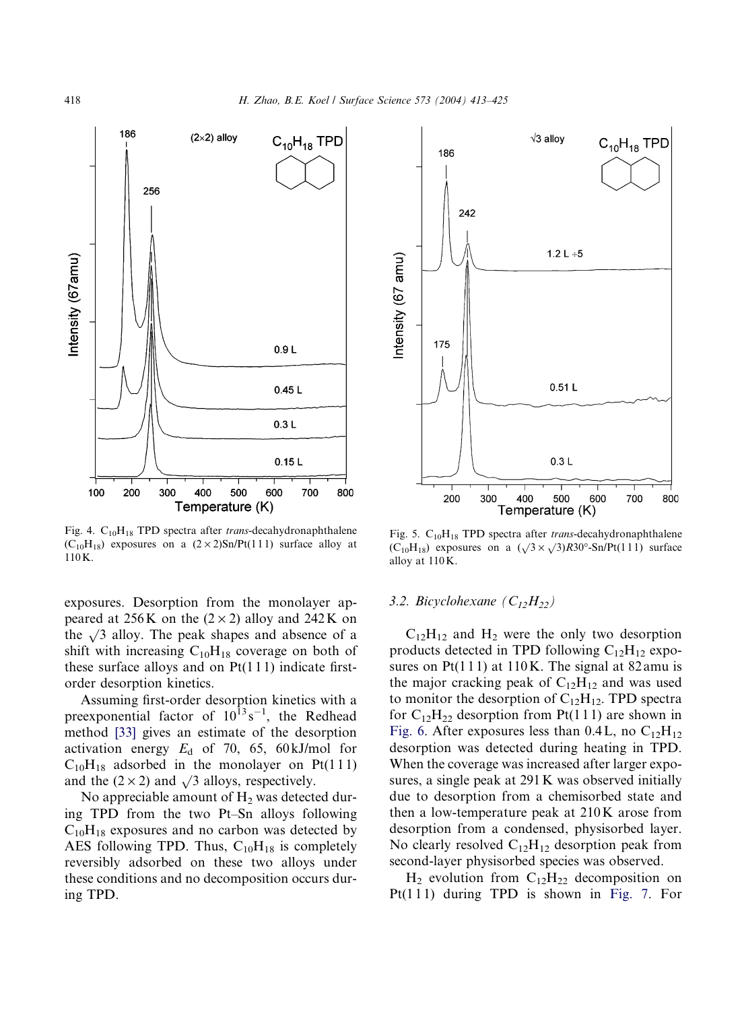<span id="page-5-0"></span>

Fig. 4.  $C_{10}H_{18}$  TPD spectra after *trans*-decahydronaphthalene  $(C_{10}H_{18})$  exposures on a  $(2 \times 2)Sn/Pt(111)$  surface alloy at 110K.

exposures. Desorption from the monolayer appeared at 256K on the  $(2 \times 2)$  alloy and 242K on the  $\sqrt{3}$  alloy. The peak shapes and absence of a shift with increasing  $C_{10}H_{18}$  coverage on both of these surface alloys and on  $Pt(111)$  indicate firstorder desorption kinetics.

Assuming first-order desorption kinetics with a preexponential factor of  $10^{13} s^{-1}$ , the Redhead method [\[33\]](#page-11-0) gives an estimate of the desorption activation energy  $E<sub>d</sub>$  of 70, 65, 60 kJ/mol for  $C_{10}H_{18}$  adsorbed in the monolayer on Pt(111) and the  $(2 \times 2)$  and  $\sqrt{3}$  alloys, respectively.

No appreciable amount of  $H<sub>2</sub>$  was detected during TPD from the two Pt–Sn alloys following  $C_{10}H_{18}$  exposures and no carbon was detected by AES following TPD. Thus,  $C_{10}H_{18}$  is completely reversibly adsorbed on these two alloys under these conditions and no decomposition occurs during TPD.



Fig. 5.  $C_{10}H_{18}$  TPD spectra after *trans*-decahydronaphthalene  $(C_{10}H_{18})$  exposures on a  $(\sqrt{3} \times \sqrt{3})R30^\circ$ -Sn/Pt(111) surface alloy at 110K.

#### 3.2. Bicyclohexane  $(C_{12}H_{22})$

 $C_{12}H_{12}$  and  $H_2$  were the only two desorption products detected in TPD following  $C_{12}H_{12}$  exposures on  $Pt(111)$  at 110K. The signal at 82 amu is the major cracking peak of  $C_{12}H_{12}$  and was used to monitor the desorption of  $C_{12}H_{12}$ . TPD spectra for  $C_{12}H_{22}$  desorption from Pt(111) are shown in [Fig. 6.](#page-6-0) After exposures less than 0.4L, no  $C_{12}H_{12}$ desorption was detected during heating in TPD. When the coverage was increased after larger exposures, a single peak at 291K was observed initially due to desorption from a chemisorbed state and then a low-temperature peak at 210K arose from desorption from a condensed, physisorbed layer. No clearly resolved  $C_{12}H_{12}$  desorption peak from second-layer physisorbed species was observed.

 $H_2$  evolution from  $C_{12}H_{22}$  decomposition on Pt $(1 1 1)$  during TPD is shown in [Fig. 7.](#page-6-0) For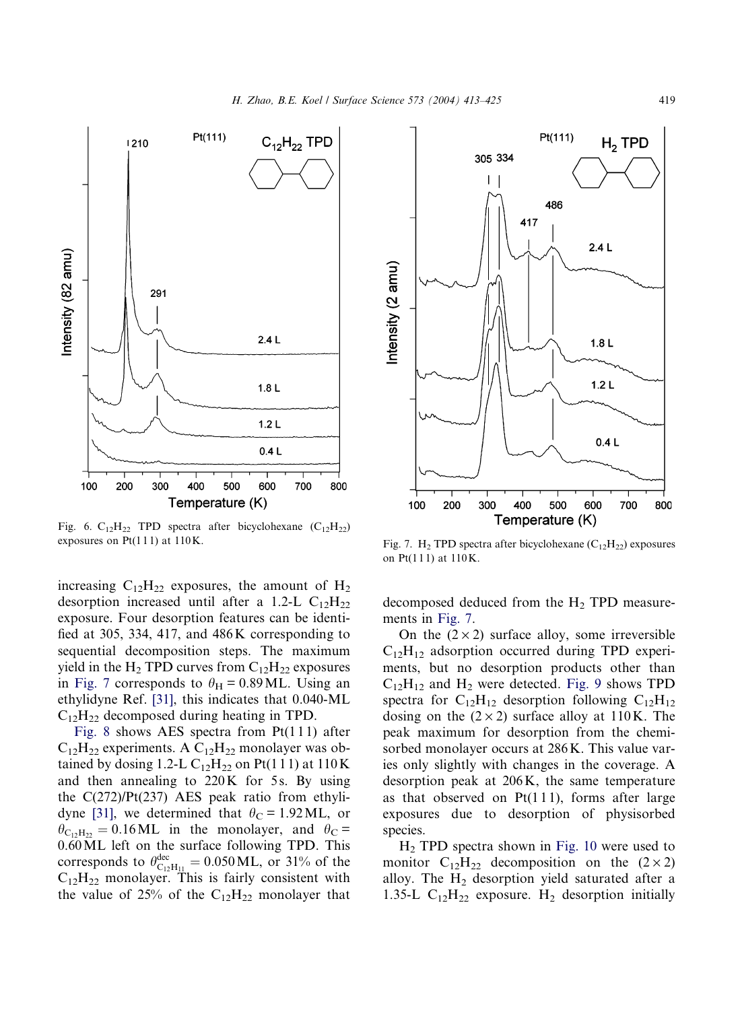<span id="page-6-0"></span>

Fig. 6.  $C_{12}H_{22}$  TPD spectra after bicyclohexane  $(C_{12}H_{22})$ exposures on Pt(111) at 110 K. Fig. 7. H<sub>2</sub> TPD spectra after bicyclohexane (C<sub>12</sub>H<sub>22</sub>) exposures

increasing  $C_{12}H_{22}$  exposures, the amount of  $H_2$ desorption increased until after a 1.2-L  $C_{12}H_{22}$ exposure. Four desorption features can be identified at 305, 334, 417, and 486K corresponding to sequential decomposition steps. The maximum yield in the H<sub>2</sub> TPD curves from  $C_{12}H_{22}$  exposures in Fig. 7 corresponds to  $\theta_H = 0.89$  ML. Using an ethylidyne Ref. [\[31\],](#page-11-0) this indicates that 0.040-ML  $C_{12}H_{22}$  decomposed during heating in TPD.

[Fig. 8](#page-7-0) shows AES spectra from  $Pt(111)$  after  $C_{12}H_{22}$  experiments. A  $C_{12}H_{22}$  monolayer was obtained by dosing 1.2-L  $C_{12}H_{22}$  on Pt(111) at 110 K and then annealing to  $220K$  for 5s. By using the  $C(272)/Pt(237)$  AES peak ratio from ethyli-dyne [\[31\]](#page-11-0), we determined that  $\theta_C = 1.92 \text{ ML}$ , or  $heta_{C_1,H_{22}} = 0.16 \text{ML}$  in the monolayer, and  $h_C =$ 0.60ML left on the surface following TPD. This corresponds to  $\theta_{\text{C}_1\text{2H}_{11}}^{\text{dec}} = 0.050 \text{ML}$ , or 31% of the  $C_{12}H_{22}$  monolayer. This is fairly consistent with the value of 25% of the  $C_{12}H_{22}$  monolayer that



on Pt(111) at 110K.

decomposed deduced from the  $H_2$  TPD measurements in Fig. 7.

On the  $(2 \times 2)$  surface alloy, some irreversible  $C_{12}H_{12}$  adsorption occurred during TPD experiments, but no desorption products other than  $C_{12}H_{12}$  and  $H_2$  were detected. [Fig. 9](#page-7-0) shows TPD spectra for  $C_{12}H_{12}$  desorption following  $C_{12}H_{12}$ dosing on the  $(2 \times 2)$  surface alloy at 110K. The peak maximum for desorption from the chemisorbed monolayer occurs at 286K. This value varies only slightly with changes in the coverage. A desorption peak at 206K, the same temperature as that observed on  $Pt(111)$ , forms after large exposures due to desorption of physisorbed species.

H2 TPD spectra shown in [Fig. 10](#page-8-0) were used to monitor  $C_{12}H_{22}$  decomposition on the  $(2 \times 2)$ alloy. The  $H_2$  desorption yield saturated after a 1.35-L  $C_{12}H_{22}$  exposure. H<sub>2</sub> desorption initially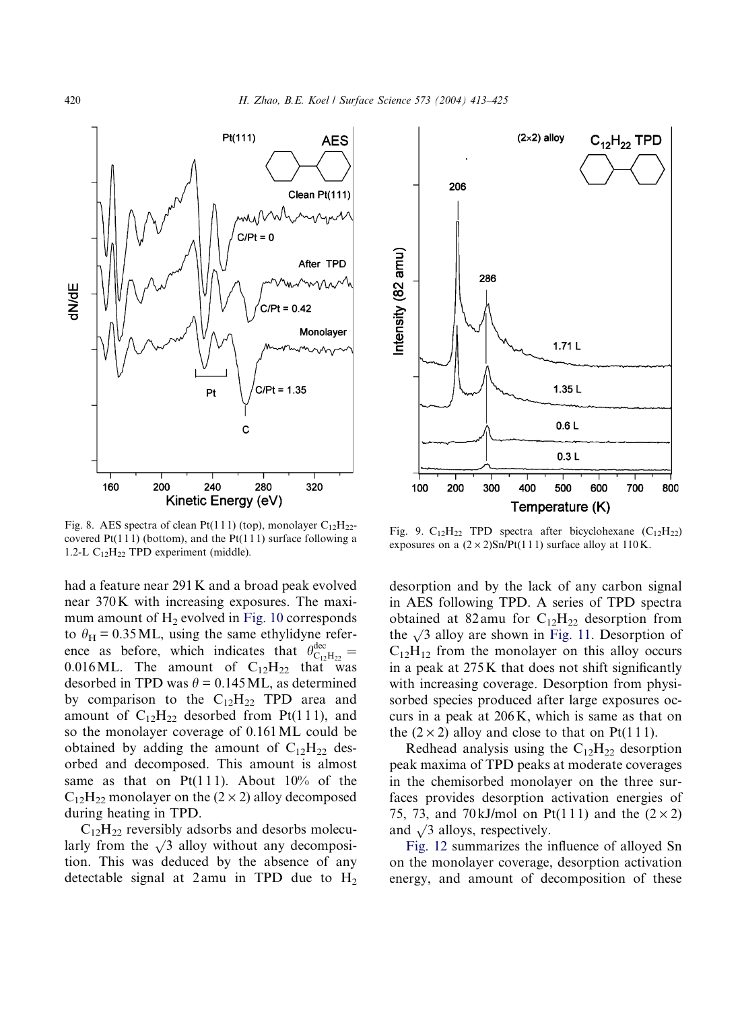<span id="page-7-0"></span>

Fig. 8. AES spectra of clean Pt(111) (top), monolayer  $C_{12}H_{22}$ covered  $Pt(111)$  (bottom), and the  $Pt(111)$  surface following a 1.2-L  $C_{12}H_{22}$  TPD experiment (middle).

had a feature near 291K and a broad peak evolved near 370K with increasing exposures. The maximum amount of  $H_2$  evolved in [Fig. 10](#page-8-0) corresponds to  $\theta_H = 0.35$  ML, using the same ethylidyne reference as before, which indicates that  $\theta_{\text{C}_{12}H_{22}}^{\text{dec}} =$ 0.016ML. The amount of  $C_{12}H_{22}$  that was desorbed in TPD was  $\theta = 0.145$  ML, as determined by comparison to the  $C_{12}H_{22}$  TPD area and amount of  $C_{12}H_{22}$  desorbed from Pt(111), and so the monolayer coverage of 0.161ML could be obtained by adding the amount of  $C_{12}H_{22}$  desorbed and decomposed. This amount is almost same as that on  $Pt(111)$ . About  $10\%$  of the  $C_{12}H_{22}$  monolayer on the (2  $\times$  2) alloy decomposed during heating in TPD.

 $C_{12}H_{22}$  reversibly adsorbs and desorbs molecularly from the  $\sqrt{3}$  alloy without any decomposition. This was deduced by the absence of any detectable signal at 2amu in TPD due to  $H_2$ 



Fig. 9.  $C_{12}H_{22}$  TPD spectra after bicyclohexane  $(C_{12}H_{22})$ exposures on a  $(2 \times 2)$ Sn/Pt(111) surface alloy at 110K.

desorption and by the lack of any carbon signal in AES following TPD. A series of TPD spectra obtained at 82 amu for  $C_{12}H_{22}$  desorption from the  $\sqrt{3}$  alloy are shown in [Fig. 11.](#page-8-0) Desorption of  $C_{12}H_{12}$  from the monolayer on this alloy occurs in a peak at 275K that does not shift significantly with increasing coverage. Desorption from physisorbed species produced after large exposures occurs in a peak at 206K, which is same as that on the  $(2 \times 2)$  alloy and close to that on Pt(111).

Redhead analysis using the  $C_{12}H_{22}$  desorption peak maxima of TPD peaks at moderate coverages in the chemisorbed monolayer on the three surfaces provides desorption activation energies of 75, 73, and 70 kJ/mol on Pt(111) and the  $(2 \times 2)$ and  $\sqrt{3}$  alloys, respectively.

[Fig. 12](#page-9-0) summarizes the influence of alloyed Sn on the monolayer coverage, desorption activation energy, and amount of decomposition of these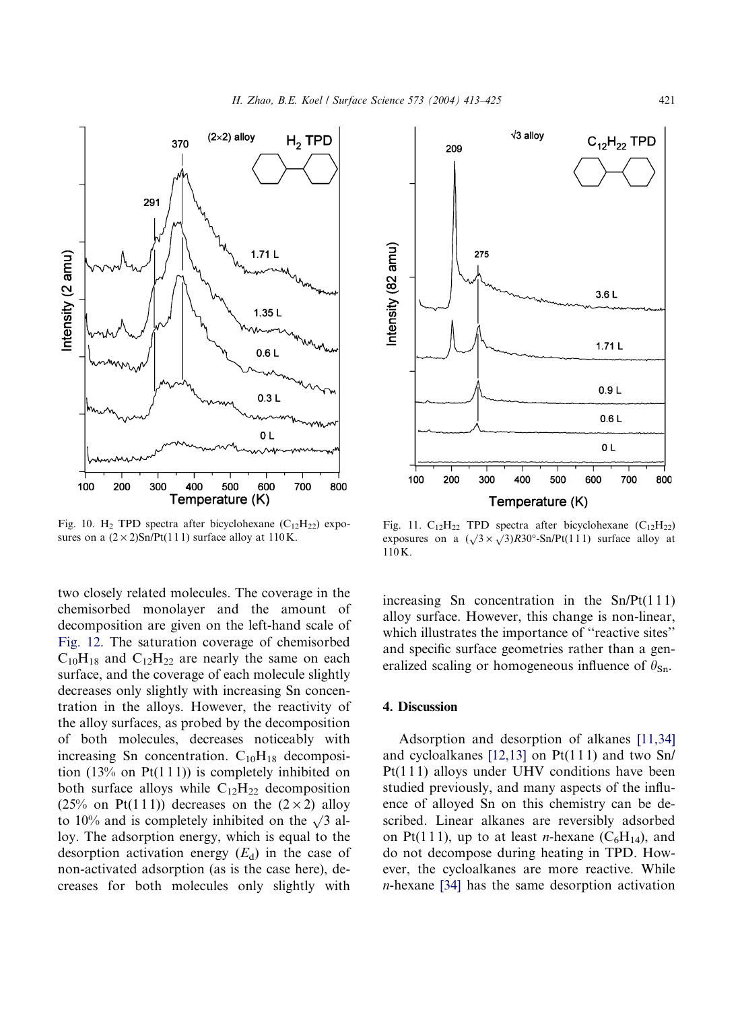<span id="page-8-0"></span>

Fig. 10. H<sub>2</sub> TPD spectra after bicyclohexane  $(C_{12}H_{22})$  exposures on a  $(2 \times 2)$ Sn/Pt(111) surface alloy at 110K.

two closely related molecules. The coverage in the chemisorbed monolayer and the amount of decomposition are given on the left-hand scale of [Fig. 12.](#page-9-0) The saturation coverage of chemisorbed  $C_{10}H_{18}$  and  $C_{12}H_{22}$  are nearly the same on each surface, and the coverage of each molecule slightly decreases only slightly with increasing Sn concentration in the alloys. However, the reactivity of the alloy surfaces, as probed by the decomposition of both molecules, decreases noticeably with increasing Sn concentration.  $C_{10}H_{18}$  decomposition  $(13\%$  on Pt $(111)$ ) is completely inhibited on both surface alloys while  $C_{12}H_{22}$  decomposition (25% on Pt(111)) decreases on the  $(2 \times 2)$  alloy to 10% and is completely inhibited on the  $\sqrt{3}$  alloy. The adsorption energy, which is equal to the desorption activation energy  $(E_d)$  in the case of non-activated adsorption (as is the case here), decreases for both molecules only slightly with



Fig. 11.  $C_{12}H_{22}$  TPD spectra after bicyclohexane  $(C_{12}H_{22})$ exposures on a  $(\sqrt{3} \times \sqrt{3})R30^\circ$ -Sn/Pt(111) surface alloy at 110K.

increasing Sn concentration in the  $Sn/Pt(111)$ alloy surface. However, this change is non-linear, which illustrates the importance of "reactive sites" and specific surface geometries rather than a generalized scaling or homogeneous influence of  $\theta_{\text{Sn}}$ .

#### 4. Discussion

Adsorption and desorption of alkanes [\[11,34\]](#page-11-0) and cycloalkanes [\[12,13\]](#page-11-0) on Pt(1 1 1) and two Sn/ Pt(1 1 1) alloys under UHV conditions have been studied previously, and many aspects of the influence of alloyed Sn on this chemistry can be described. Linear alkanes are reversibly adsorbed on Pt(111), up to at least *n*-hexane  $(C_6H_{14})$ , and do not decompose during heating in TPD. However, the cycloalkanes are more reactive. While n-hexane [\[34\]](#page-11-0) has the same desorption activation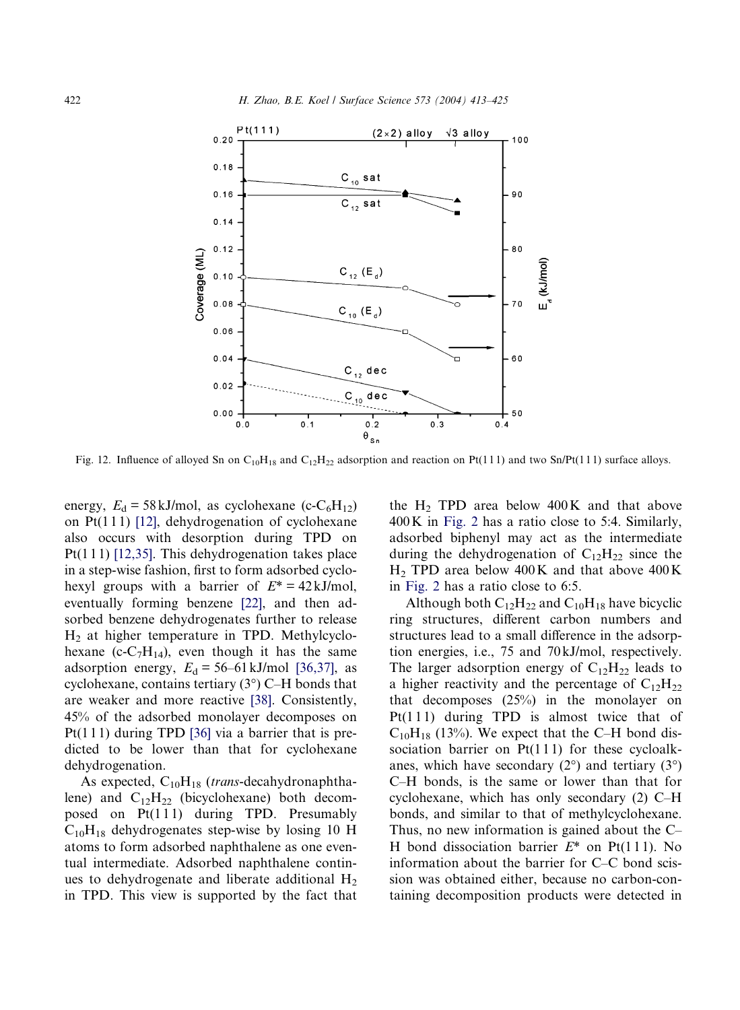<span id="page-9-0"></span>

Fig. 12. Influence of alloyed Sn on C<sub>10</sub>H<sub>18</sub> and C<sub>12</sub>H<sub>22</sub> adsorption and reaction on Pt(111) and two Sn/Pt(111) surface alloys.

energy,  $E_d = 58 \text{ kJ/mol}$ , as cyclohexane (c-C<sub>6</sub>H<sub>12</sub>) on  $Pt(111)$  [\[12\]](#page-11-0), dehydrogenation of cyclohexane also occurs with desorption during TPD on Pt(1 1 1) [\[12,35\]](#page-11-0). This dehydrogenation takes place in a step-wise fashion, first to form adsorbed cyclohexyl groups with a barrier of  $E^* = 42 \text{ kJ/mol}$ , eventually forming benzene [\[22\],](#page-11-0) and then adsorbed benzene dehydrogenates further to release  $H<sub>2</sub>$  at higher temperature in TPD. Methylcyclohexane (c-C<sub>7</sub>H<sub>14</sub>), even though it has the same adsorption energy,  $E_d = 56-61 \text{ kJ/mol}$  [\[36,37\],](#page-11-0) as cyclohexane, contains tertiary  $(3^{\circ})$  C–H bonds that are weaker and more reactive [\[38\].](#page-12-0) Consistently, 45% of the adsorbed monolayer decomposes on Pt(1 1 1) during TPD [\[36\]](#page-11-0) via a barrier that is predicted to be lower than that for cyclohexane dehydrogenation.

As expected,  $C_{10}H_{18}$  (trans-decahydronaphthalene) and  $C_{12}H_{22}$  (bicyclohexane) both decomposed on  $Pt(111)$  during TPD. Presumably  $C_{10}H_{18}$  dehydrogenates step-wise by losing 10 H atoms to form adsorbed naphthalene as one eventual intermediate. Adsorbed naphthalene continues to dehydrogenate and liberate additional  $H_2$ in TPD. This view is supported by the fact that the  $H_2$  TPD area below 400K and that above 400K in [Fig. 2](#page-4-0) has a ratio close to 5:4. Similarly, adsorbed biphenyl may act as the intermediate during the dehydrogenation of  $C_{12}H_{22}$  since the  $H<sub>2</sub>$  TPD area below 400K and that above 400K in [Fig. 2](#page-4-0) has a ratio close to 6:5.

Although both  $C_{12}H_{22}$  and  $C_{10}H_{18}$  have bicyclic ring structures, different carbon numbers and structures lead to a small difference in the adsorption energies, i.e., 75 and 70 kJ/mol, respectively. The larger adsorption energy of  $C_{12}H_{22}$  leads to a higher reactivity and the percentage of  $C_{12}H_{22}$ that decomposes (25%) in the monolayer on  $Pt(111)$  during TPD is almost twice that of  $C_{10}H_{18}$  (13%). We expect that the C–H bond dissociation barrier on  $Pt(111)$  for these cycloalkanes, which have secondary  $(2^{\circ})$  and tertiary  $(3^{\circ})$ C–H bonds, is the same or lower than that for cyclohexane, which has only secondary (2) C–H bonds, and similar to that of methylcyclohexane. Thus, no new information is gained about the C– H bond dissociation barrier  $E^*$  on Pt(111). No information about the barrier for C–C bond scission was obtained either, because no carbon-containing decomposition products were detected in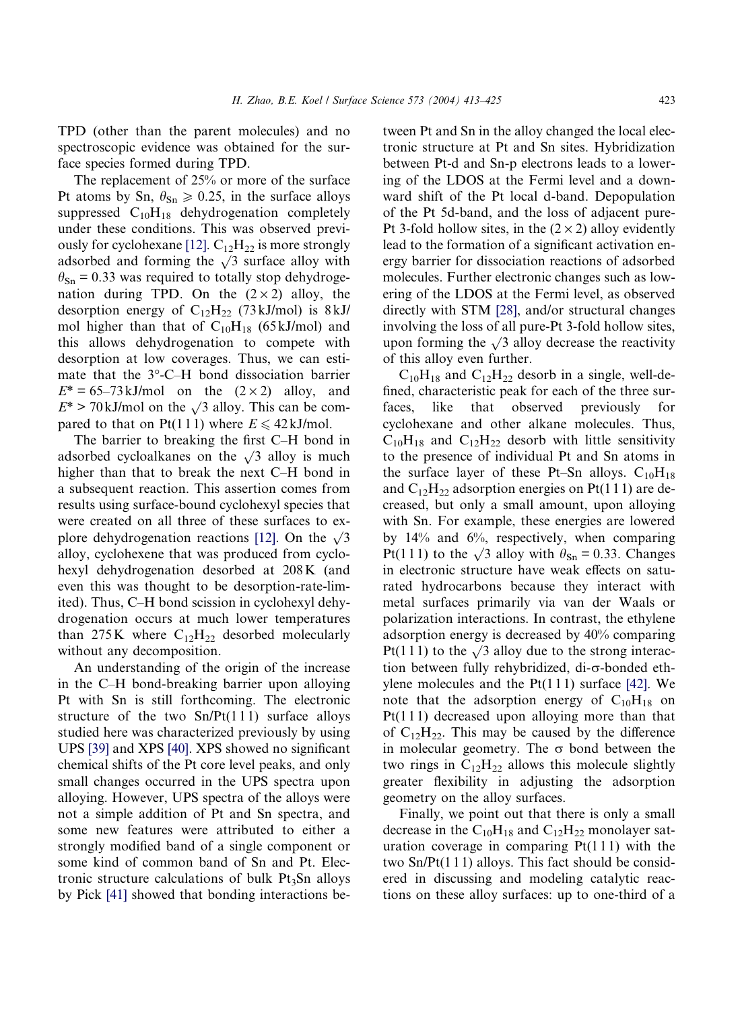TPD (other than the parent molecules) and no spectroscopic evidence was obtained for the surface species formed during TPD.

The replacement of 25% or more of the surface Pt atoms by Sn,  $\theta_{\text{Sn}} \ge 0.25$ , in the surface alloys suppressed  $C_{10}H_{18}$  dehydrogenation completely under these conditions. This was observed previ-ously for cyclohexane [\[12\].](#page-11-0)  $C_{12}H_{22}$  is more strongly adsorbed and forming the  $\sqrt{3}$  surface alloy with  $\theta_{\text{Sn}}$  = 0.33 was required to totally stop dehydrogenation during TPD. On the  $(2 \times 2)$  alloy, the desorption energy of  $C_{12}H_{22}$  (73 kJ/mol) is 8 kJ/ mol higher than that of  $C_{10}H_{18}$  (65 kJ/mol) and this allows dehydrogenation to compete with desorption at low coverages. Thus, we can estimate that the 3°-C-H bond dissociation barrier  $E^* = 65-73 \text{ kJ/mol}$  on the  $(2 \times 2)$  alloy, and  $E^*$  > 70 kJ/mol on the  $\sqrt{3}$  alloy. This can be compared to that on Pt(111) where  $E \leq 42 \text{ kJ/mol}$ .

The barrier to breaking the first C–H bond in adsorbed cycloalkanes on the  $\sqrt{3}$  alloy is much higher than that to break the next C–H bond in a subsequent reaction. This assertion comes from results using surface-bound cyclohexyl species that were created on all three of these surfaces to ex-plore dehydrogenation reactions [\[12\].](#page-11-0) On the  $\sqrt{3}$ alloy, cyclohexene that was produced from cyclohexyl dehydrogenation desorbed at 208K (and even this was thought to be desorption-rate-limited). Thus, C–H bond scission in cyclohexyl dehydrogenation occurs at much lower temperatures than 275K where  $C_{12}H_{22}$  desorbed molecularly without any decomposition.

An understanding of the origin of the increase in the C–H bond-breaking barrier upon alloying Pt with Sn is still forthcoming. The electronic structure of the two  $Sn/Pt(111)$  surface alloys studied here was characterized previously by using UPS [\[39\]](#page-12-0) and XPS [\[40\].](#page-12-0) XPS showed no significant chemical shifts of the Pt core level peaks, and only small changes occurred in the UPS spectra upon alloying. However, UPS spectra of the alloys were not a simple addition of Pt and Sn spectra, and some new features were attributed to either a strongly modified band of a single component or some kind of common band of Sn and Pt. Electronic structure calculations of bulk  $Pt_3Sn$  alloys by Pick [\[41\]](#page-12-0) showed that bonding interactions between Pt and Sn in the alloy changed the local electronic structure at Pt and Sn sites. Hybridization between Pt-d and Sn-p electrons leads to a lowering of the LDOS at the Fermi level and a downward shift of the Pt local d-band. Depopulation of the Pt 5d-band, and the loss of adjacent pure-Pt 3-fold hollow sites, in the  $(2 \times 2)$  alloy evidently lead to the formation of a significant activation energy barrier for dissociation reactions of adsorbed molecules. Further electronic changes such as lowering of the LDOS at the Fermi level, as observed directly with STM [\[28\]](#page-11-0), and/or structural changes involving the loss of all pure-Pt 3-fold hollow sites, upon forming the  $\sqrt{3}$  alloy decrease the reactivity of this alloy even further.

 $C_{10}H_{18}$  and  $C_{12}H_{22}$  desorb in a single, well-defined, characteristic peak for each of the three surfaces, like that observed previously for cyclohexane and other alkane molecules. Thus,  $C_{10}H_{18}$  and  $C_{12}H_{22}$  desorb with little sensitivity to the presence of individual Pt and Sn atoms in the surface layer of these Pt–Sn alloys.  $C_{10}H_{18}$ and  $C_{12}H_{22}$  adsorption energies on Pt(111) are decreased, but only a small amount, upon alloying with Sn. For example, these energies are lowered by 14% and 6%, respectively, when comparing Pt(111) to the  $\sqrt{3}$  alloy with  $\theta_{\text{Sn}} = 0.33$ . Changes in electronic structure have weak effects on saturated hydrocarbons because they interact with metal surfaces primarily via van der Waals or polarization interactions. In contrast, the ethylene adsorption energy is decreased by 40% comparing Pt(111) to the  $\sqrt{3}$  alloy due to the strong interaction between fully rehybridized, di- $\sigma$ -bonded ethylene molecules and the  $Pt(111)$  surface [\[42\]](#page-12-0). We note that the adsorption energy of  $C_{10}H_{18}$  on Pt(1 1 1) decreased upon alloying more than that of  $C_1$ <sub>2</sub>H<sub>22</sub>. This may be caused by the difference in molecular geometry. The  $\sigma$  bond between the two rings in  $C_{12}H_{22}$  allows this molecule slightly greater flexibility in adjusting the adsorption geometry on the alloy surfaces.

Finally, we point out that there is only a small decrease in the  $C_{10}H_{18}$  and  $C_{12}H_{22}$  monolayer saturation coverage in comparing  $Pt(111)$  with the two  $Sn/Pt(111)$  alloys. This fact should be considered in discussing and modeling catalytic reactions on these alloy surfaces: up to one-third of a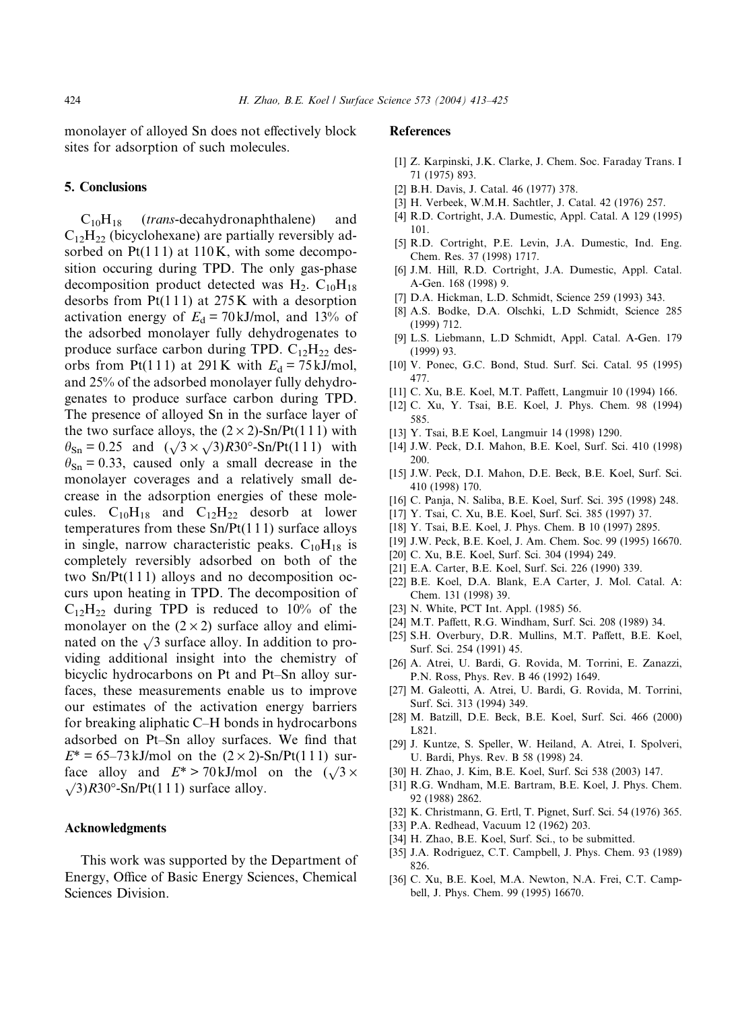<span id="page-11-0"></span>monolayer of alloyed Sn does not effectively block sites for adsorption of such molecules.

#### 5. Conclusions

 $C_{10}H_{18}$  (*trans*-decahydronaphthalene) and  $C_{12}H_{22}$  (bicyclohexane) are partially reversibly adsorbed on  $Pt(111)$  at 110K, with some decomposition occuring during TPD. The only gas-phase decomposition product detected was  $H_2$ . C<sub>10</sub>H<sub>18</sub> desorbs from  $Pt(111)$  at 275K with a desorption activation energy of  $E_d = 70 \text{ kJ/mol}$ , and 13% of the adsorbed monolayer fully dehydrogenates to produce surface carbon during TPD.  $C_{12}H_{22}$  desorbs from Pt(111) at 291K with  $E_d = 75$  kJ/mol, and 25% of the adsorbed monolayer fully dehydrogenates to produce surface carbon during TPD. The presence of alloyed Sn in the surface layer of the two surface alloys, the  $(2 \times 2)$ -Sn/Pt(111) with  $\theta_{\text{Sn}} = 0.25$  and  $(\sqrt{3} \times \sqrt{3})R30^{\circ}$ -Sn/Pt(111) with  $\theta_{\text{Sn}} = 0.33$ , caused only a small decrease in the monolayer coverages and a relatively small decrease in the adsorption energies of these molecules.  $C_{10}H_{18}$  and  $C_{12}H_{22}$  desorb at lower temperatures from these Sn/Pt(1 1 1) surface alloys in single, narrow characteristic peaks.  $C_{10}H_{18}$  is completely reversibly adsorbed on both of the two  $Sn/Pt(111)$  alloys and no decomposition occurs upon heating in TPD. The decomposition of  $C_{12}H_{22}$  during TPD is reduced to 10% of the monolayer on the  $(2 \times 2)$  surface alloy and eliminated on the  $\sqrt{3}$  surface alloy. In addition to providing additional insight into the chemistry of bicyclic hydrocarbons on Pt and Pt–Sn alloy surfaces, these measurements enable us to improve our estimates of the activation energy barriers for breaking aliphatic C–H bonds in hydrocarbons adsorbed on Pt–Sn alloy surfaces. We find that  $E^* = 65-73 \text{ kJ/mol}$  on the  $(2 \times 2)$ -Sn/Pt(111) surface alloy and  $E^* > 70 \text{ kJ/mol}$  on the  $(\sqrt{3} \times$  $\sqrt{3}$ , R30°-Sn/Pt(111) surface alloy.

# Acknowledgments

This work was supported by the Department of Energy, Office of Basic Energy Sciences, Chemical Sciences Division.

# References

- [1] Z. Karpinski, J.K. Clarke, J. Chem. Soc. Faraday Trans. I 71 (1975) 893.
- [2] B.H. Davis, J. Catal. 46 (1977) 378.
- [3] H. Verbeek, W.M.H. Sachtler, J. Catal. 42(1976) 257.
- [4] R.D. Cortright, J.A. Dumestic, Appl. Catal. A 129 (1995) 101.
- [5] R.D. Cortright, P.E. Levin, J.A. Dumestic, Ind. Eng. Chem. Res. 37 (1998) 1717.
- [6] J.M. Hill, R.D. Cortright, J.A. Dumestic, Appl. Catal. A-Gen. 168 (1998) 9.
- [7] D.A. Hickman, L.D. Schmidt, Science 259 (1993) 343.
- [8] A.S. Bodke, D.A. Olschki, L.D Schmidt, Science 285 (1999) 712.
- [9] L.S. Liebmann, L.D Schmidt, Appl. Catal. A-Gen. 179 (1999) 93.
- [10] V. Ponec, G.C. Bond, Stud. Surf. Sci. Catal. 95 (1995) 477.
- [11] C. Xu, B.E. Koel, M.T. Paffett, Langmuir 10 (1994) 166.
- [12] C. Xu, Y. Tsai, B.E. Koel, J. Phys. Chem. 98 (1994) 585.
- [13] Y. Tsai, B.E Koel, Langmuir 14 (1998) 1290.
- [14] J.W. Peck, D.I. Mahon, B.E. Koel, Surf. Sci. 410 (1998) 200.
- [15] J.W. Peck, D.I. Mahon, D.E. Beck, B.E. Koel, Surf. Sci. 410 (1998) 170.
- [16] C. Panja, N. Saliba, B.E. Koel, Surf. Sci. 395 (1998) 248.
- [17] Y. Tsai, C. Xu, B.E. Koel, Surf. Sci. 385 (1997) 37.
- [18] Y. Tsai, B.E. Koel, J. Phys. Chem. B 10 (1997) 2895.
- [19] J.W. Peck, B.E. Koel, J. Am. Chem. Soc. 99 (1995) 16670.
- [20] C. Xu, B.E. Koel, Surf. Sci. 304 (1994) 249.
- [21] E.A. Carter, B.E. Koel, Surf. Sci. 226 (1990) 339.
- [22] B.E. Koel, D.A. Blank, E.A Carter, J. Mol. Catal. A: Chem. 131 (1998) 39.
- [23] N. White, PCT Int. Appl. (1985) 56.
- [24] M.T. Paffett, R.G. Windham, Surf. Sci. 208 (1989) 34.
- [25] S.H. Overbury, D.R. Mullins, M.T. Paffett, B.E. Koel, Surf. Sci. 254 (1991) 45.
- [26] A. Atrei, U. Bardi, G. Rovida, M. Torrini, E. Zanazzi, P.N. Ross, Phys. Rev. B 46 (1992) 1649.
- [27] M. Galeotti, A. Atrei, U. Bardi, G. Rovida, M. Torrini, Surf. Sci. 313 (1994) 349.
- [28] M. Batzill, D.E. Beck, B.E. Koel, Surf. Sci. 466 (2000) L821.
- [29] J. Kuntze, S. Speller, W. Heiland, A. Atrei, I. Spolveri, U. Bardi, Phys. Rev. B 58 (1998) 24.
- [30] H. Zhao, J. Kim, B.E. Koel, Surf. Sci 538 (2003) 147.
- [31] R.G. Wndham, M.E. Bartram, B.E. Koel, J. Phys. Chem. 92 (1988) 2862.
- [32] K. Christmann, G. Ertl, T. Pignet, Surf. Sci. 54 (1976) 365.
- [33] P.A. Redhead, Vacuum 12 (1962) 203.
- [34] H. Zhao, B.E. Koel, Surf. Sci., to be submitted.
- [35] J.A. Rodriguez, C.T. Campbell, J. Phys. Chem. 93 (1989) 826.
- [36] C. Xu, B.E. Koel, M.A. Newton, N.A. Frei, C.T. Campbell, J. Phys. Chem. 99 (1995) 16670.